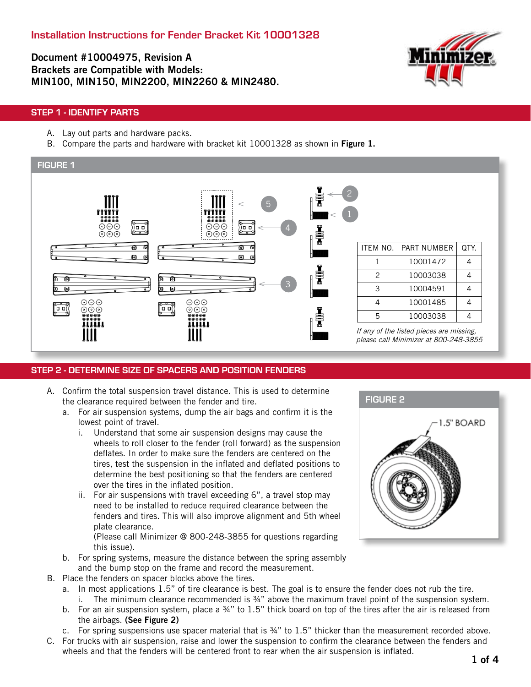Document #10004975, Revision A Brackets are Compatible with Models: MIN100, MIN150, MIN2200, MIN2260 & MIN2480.



### STEP 1 - IDENTIFY PARTS

- A. Lay out parts and hardware packs.
- B. Compare the parts and hardware with bracket kit 10001328 as shown in Figure 1.



### STEP 2 - DETERMINE SIZE OF SPACERS AND POSITION FENDERS

- A. Confirm the total suspension travel distance. This is used to determine the clearance required between the fender and tire.
	- a. For air suspension systems, dump the air bags and confirm it is the lowest point of travel.
		- i. Understand that some air suspension designs may cause the wheels to roll closer to the fender (roll forward) as the suspension deflates. In order to make sure the fenders are centered on the tires, test the suspension in the inflated and deflated positions to determine the best positioning so that the fenders are centered over the tires in the inflated position.
		- ii. For air suspensions with travel exceeding 6", a travel stop may need to be installed to reduce required clearance between the fenders and tires. This will also improve alignment and 5th wheel plate clearance.

(Please call Minimizer @ 800-248-3855 for questions regarding this issue).

- b. For spring systems, measure the distance between the spring assembly and the bump stop on the frame and record the measurement.
- B. Place the fenders on spacer blocks above the tires.
	- a. In most applications 1.5" of tire clearance is best. The goal is to ensure the fender does not rub the tire. i. The minimum clearance recommended is  $\frac{3}{4}$ " above the maximum travel point of the suspension system.
	- b. For an air suspension system, place a 34" to 1.5" thick board on top of the tires after the air is released from the airbags. (See Figure 2)
	- c. For spring suspensions use spacer material that is ¾" to 1.5" thicker than the measurement recorded above.
- C. For trucks with air suspension, raise and lower the suspension to confirm the clearance between the fenders and wheels and that the fenders will be centered front to rear when the air suspension is inflated.

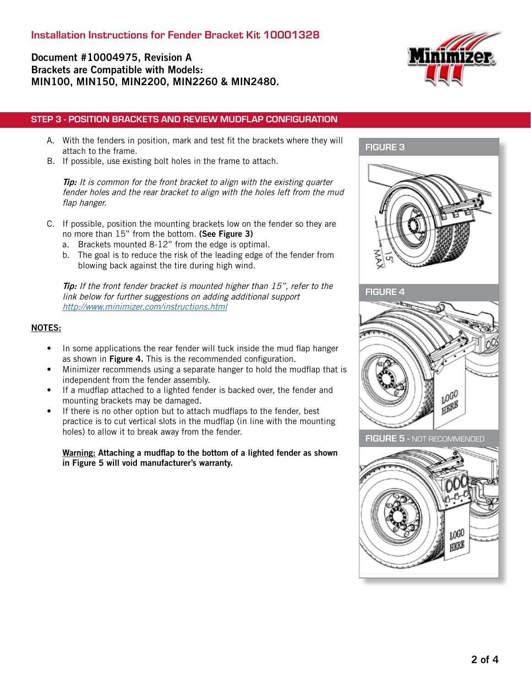## Document #10004975, Revision A Brackets are Compatible with Models: MIN100, MIN150, MIN2200, MIN2260 & MIN2480.



### STEP 3 - POSITION BRACKETS AND REVIEW MUDFLAP CONFIGURATION

- A. With the fenders in position, mark and test fit the brackets where they will attach to the frame.
- B. If possible, use existing bolt holes in the frame to attach.

**Tip:** It is common for the front bracket to align with the existing quarter fender holes and the rear bracket to align with the holes left from the mud flap hanger.

- C. If possible, position the mounting brackets low on the fender so they are no more than 15" from the bottom. (See Figure 3)
	- a. Brackets mounted 8-12" from the edge is optimal.
	- b. The goal is to reduce the risk of the leading edge of the fender from blowing back against the tire during high wind.

Tip: If the front fender bracket is mounted higher than 15", refer to the link below for further suggestions on adding additional support <http://www.minimizer.com/instructions.html>

### NOTES:

- In some applications the rear fender will tuck inside the mud flap hanger as shown in Figure 4. This is the recommended configuration.
- Minimizer recommends using a separate hanger to hold the mudflap that is independent from the fender assembly.
- If a mudflap attached to a lighted fender is backed over, the fender and mounting brackets may be damaged.
- If there is no other option but to attach mudflaps to the fender, best practice is to cut vertical slots in the mudflap (in line with the mounting holes) to allow it to break away from the fender.

Warning: Attaching a mudflap to the bottom of a lighted fender as shown in Figure 5 will void manufacturer's warranty.

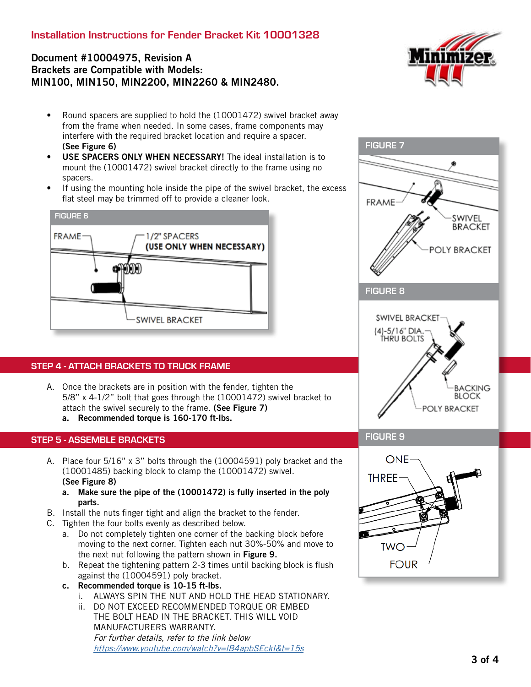# Installation Instructions for Fender Bracket Kit 10001328

# Document #10004975, Revision A Brackets are Compatible with Models: MIN100, MIN150, MIN2200, MIN2260 & MIN2480.



- Round spacers are supplied to hold the (10001472) swivel bracket away from the frame when needed. In some cases, frame components may interfere with the required bracket location and require a spacer. (See Figure 6)
- USE SPACERS ONLY WHEN NECESSARY! The ideal installation is to mount the (10001472) swivel bracket directly to the frame using no spacers.
- If using the mounting hole inside the pipe of the swivel bracket, the excess flat steel may be trimmed off to provide a cleaner look.



## STEP 4 - ATTACH BRACKETS TO TRUCK FRAME

A. Once the brackets are in position with the fender, tighten the 5/8" x 4-1/2" bolt that goes through the (10001472) swivel bracket to attach the swivel securely to the frame. (See Figure 7) a. Recommended torque is 160-170 ft-lbs.

### STEP 5 - ASSEMBLE BRACKETS

- A. Place four 5/16" x 3" bolts through the (10004591) poly bracket and the (10001485) backing block to clamp the (10001472) swivel. (See Figure 8)
	- a. Make sure the pipe of the (10001472) is fully inserted in the poly parts.
- B. Install the nuts finger tight and align the bracket to the fender.
- C. Tighten the four bolts evenly as described below.
	- a. Do not completely tighten one corner of the backing block before moving to the next corner. Tighten each nut 30%-50% and move to the next nut following the pattern shown in Figure 9.
	- b. Repeat the tightening pattern 2-3 times until backing block is flush against the (10004591) poly bracket.
	- c. Recommended torque is 10-15 ft-lbs.
		- i. ALWAYS SPIN THE NUT AND HOLD THE HEAD STATIONARY.
		- ii. DO NOT EXCEED RECOMMENDED TORQUE OR EMBED THE BOLT HEAD IN THE BRACKET. THIS WILL VOID MANUFACTURERS WARRANTY. For further details, refer to the link below <https://www.youtube.com/watch?v=lB4apbSEckI&t=15s>